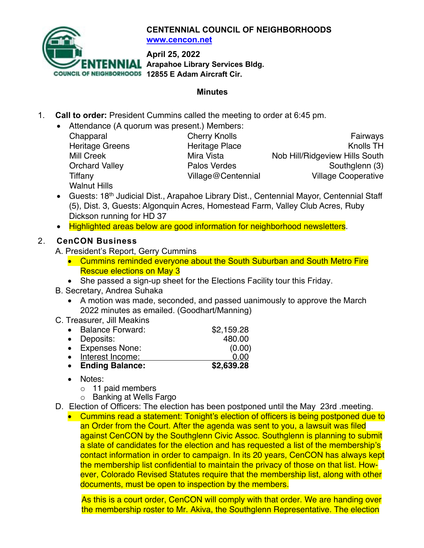

**CENTENNIAL COUNCIL OF NEIGHBORHOODS www.cencon.net**

**April 25, 2022**

**Arapahoe Library Services Bldg.** 

**COUNCIL OF NEIGHBORHOODS 12855 E Adam Aircraft Cir.** 

#### **Minutes**

- 1. **Call to order:** President Cummins called the meeting to order at 6:45 pm.
	- Attendance (A quorum was present.) Members:

| Chapparal              | <b>Cherry Knolls</b>  | Fairways                       |
|------------------------|-----------------------|--------------------------------|
| <b>Heritage Greens</b> | <b>Heritage Place</b> | <b>Knolls TH</b>               |
| <b>Mill Creek</b>      | Mira Vista            | Nob Hill/Ridgeview Hills South |
| <b>Orchard Valley</b>  | Palos Verdes          | Southglenn (3)                 |
| Tiffany                | Village@Centennial    | <b>Village Cooperative</b>     |
| <b>Walnut Hills</b>    |                       |                                |

- Guests: 18<sup>th</sup> Judicial Dist., Arapahoe Library Dist., Centennial Mayor, Centennial Staff (5), Dist. 3, Guests: Algonquin Acres, Homestead Farm, Valley Club Acres, Ruby Dickson running for HD 37
- Highlighted areas below are good information for neighborhood newsletters.

# 2. **CenCON Business**

- A. President's Report, Gerry Cummins
	- Cummins reminded everyone about the South Suburban and South Metro Fire Rescue elections on May 3
	- She passed a sign-up sheet for the Elections Facility tour this Friday.
- B. Secretary, Andrea Suhaka
	- A motion was made, seconded, and passed uanimously to approve the March 2022 minutes as emailed. (Goodhart/Manning)
- C. Treasurer, Jill Meakins

|           | <b>Ending Balance:</b>  | \$2,639.28 |
|-----------|-------------------------|------------|
|           | Interest Income:        | 0.00       |
|           | • Expenses None:        | (0.00)     |
| $\bullet$ | Deposits:               | 480.00     |
|           | <b>Balance Forward:</b> | \$2,159.28 |

- Notes:
	- o 11 paid members
	- o Banking at Wells Fargo
- D. Election of Officers: The election has been postponed until the May 23rd .meeting.
	- Cummins read a statement: Tonight's election of officers is being postponed due to an Order from the Court. After the agenda was sent to you, a lawsuit was filed against CenCON by the Southglenn Civic Assoc. Southglenn is planning to submit a slate of candidates for the election and has requested a list of the membership's contact information in order to campaign. In its 20 years, CenCON has always kept the membership list confidential to maintain the privacy of those on that list. However, Colorado Revised Statutes require that the membership list, along with other documents, must be open to inspection by the members.

As this is a court order, CenCON will comply with that order. We are handing over the membership roster to Mr. Akiva, the Southglenn Representative. The election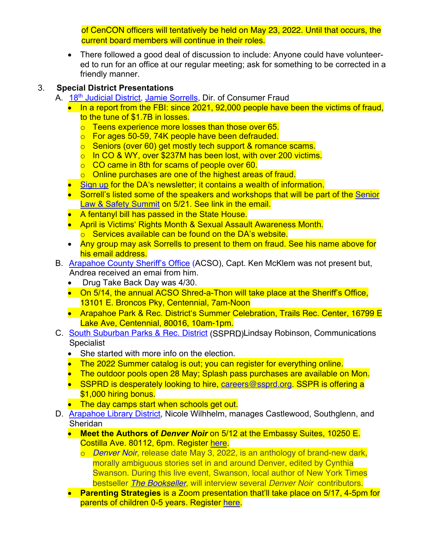of CenCON officers will tentatively be held on May 23, 2022. Until that occurs, the current board members will continue in their roles.

• There followed a good deal of discussion to include: Anyone could have volunteered to run for an office at our regular meeting; ask for something to be corrected in a friendly manner.

## 3. **Special District Presentations**

- A. 18<sup>th</sup> [Judicial District](https://www.courts.state.co.us/Courts/District/Index.cfm?District_ID=18), [Jamie Sorrells](mailto:JSorrells@da18.state.co.us), Dir. of Consumer Fraud
	- In a report from the FBI: since 2021, 92,000 people have been the victims of fraud. to the tune of \$1.7B in losses.
		- o Teens experience more losses than those over 65.
		- o For ages 50-59, 74K people have been defrauded.
		- o Seniors (over 60) get mostly tech support & romance scams.
		- o In CO & WY, over \$237M has been lost, with over 200 victims.
		- o CO came in 8th for scams of people over 60.
		- o Online purchases are one of the highest areas of fraud.
	- [Sign up](https://lp.constantcontactpages.com/su/jnGFTuT?source_id=e35b40c3-5ad3-462d-8afd-cdcd8703a237&source_type=em&c=zeyFt6CBXZgiOwl3AEYNXuk2eJOWw0ujyst3_nCckrymqkQtCxKMJw==) for the DA's newsletter; it contains a wealth of information.
	- Sorrell's listed some of the speakers and workshops that will be part of the Senior [Law & Safety Summit](https://www.da18.org/slss2022/) on 5/21. See link in the email.
	- A fentanyl bill has passed in the State House.
	- April is Victims' Rights Month & Sexual Assault Awareness Month.
		- o Services available can be found on the DA's website.
	- Any group may ask Sorrells to present to them on fraud. See his name above for his email address.
- B. [Arapahoe County Sheriff's Office](https://www.arapahoegov.com/1721/Sheriffs-Office) (ACSO), Capt. Ken McKlem was not present but, Andrea received an emai from him.
	- Drug Take Back Day was 4/30.
	- On 5/14, the annual ACSO Shred-a-Thon will take place at the Sheriff's Office, 13101 E. Broncos Pky, Centennial, 7am-Noon
	- Arapahoe Park & Rec. District's Summer Celebration, Trails Rec. Center, 16799 E Lake Ave, Centennial, 80016, 10am-1pm.
- C. [South Suburban Parks & Rec. District](https://www.ssprd.org/) (SSPRD)Lindsay Robinson, Communications Specialist
	- She started with more info on the election.
	- The 2022 Summer catalog is out; you can register for everything online.
	- The outdoor pools open 28 May; Splash pass purchases are available on Mon.
	- SSPRD is desperately looking to hire, careers@ssprd.org. SSPR is offering a \$1,000 hiring bonus.
	- The day camps start when schools get out.
- D. **Arapahoe Library District**, Nicole Wilhhelm, manages Castlewood, Southglenn, and Sheridan
	- **Meet the Authors of** *Denver Noir* on 5/12 at the Embassy Suites, 10250 E. Costilla Ave. 80112, 6pm. Register [here](https://arapahoelibraries.bibliocommons.com/events/623e0cd1696f623600e7a032).
		- o *[Denver Noir](https://arapahoelibraries.bibliocommons.com/item/show/2139425115)*, release date May 3, 2022, is an anthology of brand-new dark, morally ambiguous stories set in and around Denver, edited by Cynthia Swanson. During this live event, Swanson, local author of New York Times bestseller *[The Bookseller](https://arapahoelibraries.bibliocommons.com/item/show/1757953115)*, will interview several *Denver Noir* contributors.
	- **Parenting Strategies** is a Zoom presentation that'll take place on 5/17, 4-5pm for parents of children 0-5 years. Registe[r here.](https://arapahoelibraries.bibliocommons.com/events/62471f931586882f00d810ce)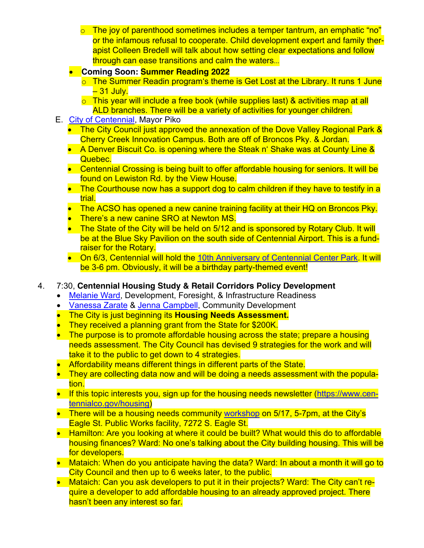- $\circ$  The joy of parenthood sometimes includes a temper tantrum, an emphatic "no" or the infamous refusal to cooperate. Child development expert and family therapist Colleen Bredell will talk about how setting clear expectations and follow through can ease transitions and calm the waters…
- **Coming Soon: Summer Reading 2022**
	- $\circ$  The Summer Readin program's theme is Get Lost at the Library. It runs 1 June – 31 July.
	- $\circ$  This year will include a free book (while supplies last) & activities map at all ALD branches. There will be a variety of activities for younger children.
- E. [City of Centennial,](https://www.centennialco.gov/Home) Mayor Piko
	- The City Council just approved the annexation of the Dove Valley Regional Park & Cherry Creek Innovation Campus. Both are off of Broncos Pky. & Jordan.
	- A Denver Biscuit Co. is opening where the Steak n' Shake was at County Line & Quebec.
	- Centennial Crossing is being built to offer affordable housing for seniors. It will be found on Lewiston Rd. by the View House.
	- The Courthouse now has a support dog to calm children if they have to testify in a trial.
	- The ACSO has opened a new canine training facility at their HQ on Broncos Pky.
	- There's a new canine SRO at Newton MS.
	- The State of the City will be held on 5/12 and is sponsored by Rotary Club. It will be at the Blue Sky Pavilion on the south side of Centennial Airport. This is a fundraiser for the Rotary.
	- On 6/3, Centennial will hold the [10th Anniversary of Centennial Center](https://www.centennialco.gov/Calendar/Centennial-Center-Park-is-10) Park. It will be 3-6 pm. Obviously, it will be a birthday party-themed event!
- 4. 7:30, **Centennial Housing Study & Retail Corridors Policy Development**
	- [Melanie Ward,](mailto:mward@centennialco.gov) Development, Foresight, & Infrastructure Readiness
	- [Vanessa Zarate](mailto:vzarate@centennialco.gov) & Jenna Campbell, Community Development
	- The City is just beginning its **Housing Needs Assessment.**
	- They received a planning grant from the State for \$200K.
	- The purpose is to promote affordable housing across the state; prepare a housing needs assessment. The City Council has devised 9 strategies for the work and will take it to the public to get down to 4 strategies.
	- Affordability means different things in different parts of the State.
	- They are collecting data now and will be doing a needs assessment with the population.
	- If this topic interests you, sign up for the housing needs newsletter [\(https://www.cen](https://www.centennialco.gov/housing)[tennialco.gov/housing](https://www.centennialco.gov/housing))
	- There will be a housing needs community [workshop](https://www.centennialco.gov/Calendar/Housing-Study-Community-Meeting) on 5/17, 5-7pm, at the City's Eagle St. Public Works facility, 7272 S. Eagle St.
	- Hamilton: Are you looking at where it could be built? What would this do to affordable housing finances? Ward: No one's talking about the City building housing. This will be for developers.
	- Mataich: When do you anticipate having the data? Ward: In about a month it will go to City Council and then up to 6 weeks later, to the public.
	- Mataich: Can you ask developers to put it in their projects? Ward: The City can't require a developer to add affordable housing to an already approved project. There hasn't been any interest so far.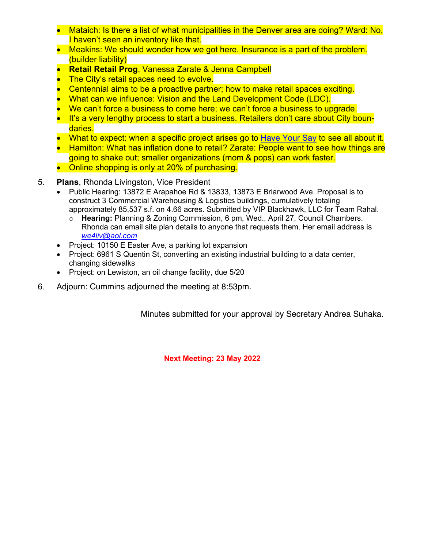- Mataich: Is there a list of what municipalities in the Denver area are doing? Ward: No, I haven't seen an inventory like that.
- Meakins: We should wonder how we got here. Insurance is a part of the problem. (builder liability)
- **Retail Retail Prog**, Vanessa Zarate & Jenna Campbell
- The City's retail spaces need to evolve.
- Centennial aims to be a proactive partner; how to make retail spaces exciting.
- What can we influence: Vision and the Land Development Code (LDC).
- We can't force a business to come here; we can't force a business to upgrade.
- It's a very lengthy process to start a business. Retailers don't care about City boundaries.
- What to expect: when a specific project arises go to [Have Your Say](https://www.centennialco.gov/Residents/Have-Your-Say-Centennial) to see all about it.
- Hamilton: What has inflation done to retail? Zarate: People want to see how things are going to shake out; smaller organizations (mom & pops) can work faster.
- Online shopping is only at 20% of purchasing.
- 5. **Plans**, Rhonda Livingston, Vice President
	- Public Hearing: 13872 E Arapahoe Rd & 13833, 13873 E Briarwood Ave. Proposal is to construct 3 Commercial Warehousing & Logistics buildings, cumulatively totaling approximately 85,537 s.f. on 4.66 acres. Submitted by VIP Blackhawk, LLC for Team Rahal.
		- o **Hearing:** Planning & Zoning Commission, 6 pm, Wed., April 27, Council Chambers. Rhonda can email site plan details to anyone that requests them. Her email address is *we4liv@aol.com*
	- Project: 10150 E Easter Ave, a parking lot expansion
	- Project: 6961 S Quentin St, converting an existing industrial building to a data center, changing sidewalks
	- Project: on Lewiston, an oil change facility, due 5/20
- 6. Adjourn: Cummins adjourned the meeting at 8:53pm.

Minutes submitted for your approval by Secretary Andrea Suhaka.

**Next Meeting: 23 May 2022**